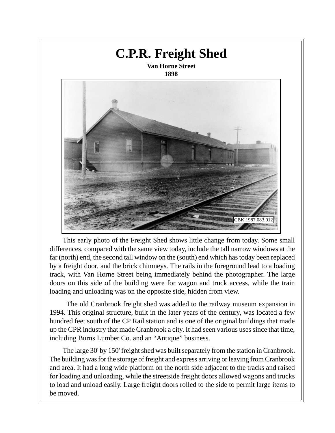

This early photo of the Freight Shed shows little change from today. Some small differences, compared with the same view today, include the tall narrow windows at the far (north) end, the second tall window on the (south) end which has today been replaced by a freight door, and the brick chimneys. The rails in the foreground lead to a loading track, with Van Horne Street being immediately behind the photographer. The large doors on this side of the building were for wagon and truck access, while the train loading and unloading was on the opposite side, hidden from view.

 The old Cranbrook freight shed was added to the railway museum expansion in 1994. This original structure, built in the later years of the century, was located a few hundred feet south of the CP Rail station and is one of the original buildings that made up the CPR industry that made Cranbrook a city. It had seen various uses since that time, including Burns Lumber Co. and an "Antique" business.

The large 30' by 150' freight shed was built separately from the station in Cranbrook. The building was for the storage of freight and express arriving or leaving from Cranbrook and area. It had a long wide platform on the north side adjacent to the tracks and raised for loading and unloading, while the streetside freight doors allowed wagons and trucks to load and unload easily. Large freight doors rolled to the side to permit large items to be moved.